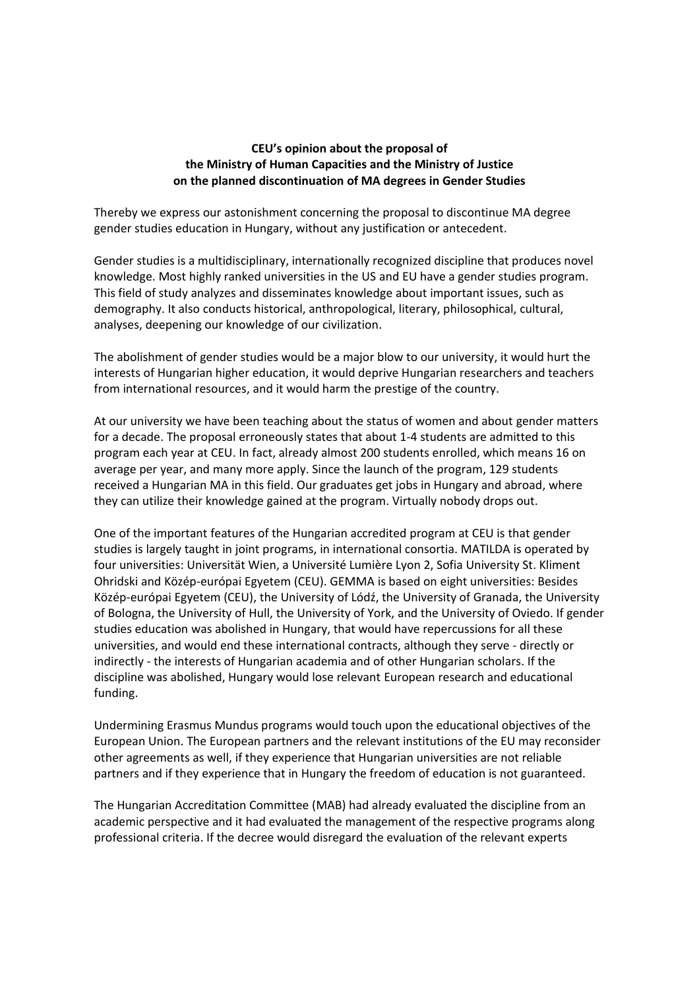## **CEU's opinion about the proposal of the Ministry of Human Capacities and the Ministry of Justice on the planned discontinuation of MA degrees in Gender Studies**

Thereby we express our astonishment concerning the proposal to discontinue MA degree gender studies education in Hungary, without any justification or antecedent.

Gender studies is a multidisciplinary, internationally recognized discipline that produces novel knowledge. Most highly ranked universities in the US and EU have a gender studies program. This field of study analyzes and disseminates knowledge about important issues, such as demography. It also conducts historical, anthropological, literary, philosophical, cultural, analyses, deepening our knowledge of our civilization.

The abolishment of gender studies would be a major blow to our university, it would hurt the interests of Hungarian higher education, it would deprive Hungarian researchers and teachers from international resources, and it would harm the prestige of the country.

At our university we have been teaching about the status of women and about gender matters for a decade. The proposal erroneously states that about 1-4 students are admitted to this program each year at CEU. In fact, already almost 200 students enrolled, which means 16 on average per year, and many more apply. Since the launch of the program, 129 students received a Hungarian MA in this field. Our graduates get jobs in Hungary and abroad, where they can utilize their knowledge gained at the program. Virtually nobody drops out.

One of the important features of the Hungarian accredited program at CEU is that gender studies is largely taught in joint programs, in international consortia. MATILDA is operated by four universities: Universität Wien, a Université Lumière Lyon 2, Sofia University St. Kliment Ohridski and Közép-európai Egyetem (CEU). GEMMA is based on eight universities: Besides Közép-európai Egyetem (CEU), the University of Lódź, the University of Granada, the University of Bologna, the University of Hull, the University of York, and the University of Oviedo. If gender studies education was abolished in Hungary, that would have repercussions for all these universities, and would end these international contracts, although they serve - directly or indirectly - the interests of Hungarian academia and of other Hungarian scholars. If the discipline was abolished, Hungary would lose relevant European research and educational funding.

Undermining Erasmus Mundus programs would touch upon the educational objectives of the European Union. The European partners and the relevant institutions of the EU may reconsider other agreements as well, if they experience that Hungarian universities are not reliable partners and if they experience that in Hungary the freedom of education is not guaranteed.

The Hungarian Accreditation Committee (MAB) had already evaluated the discipline from an academic perspective and it had evaluated the management of the respective programs along professional criteria. If the decree would disregard the evaluation of the relevant experts